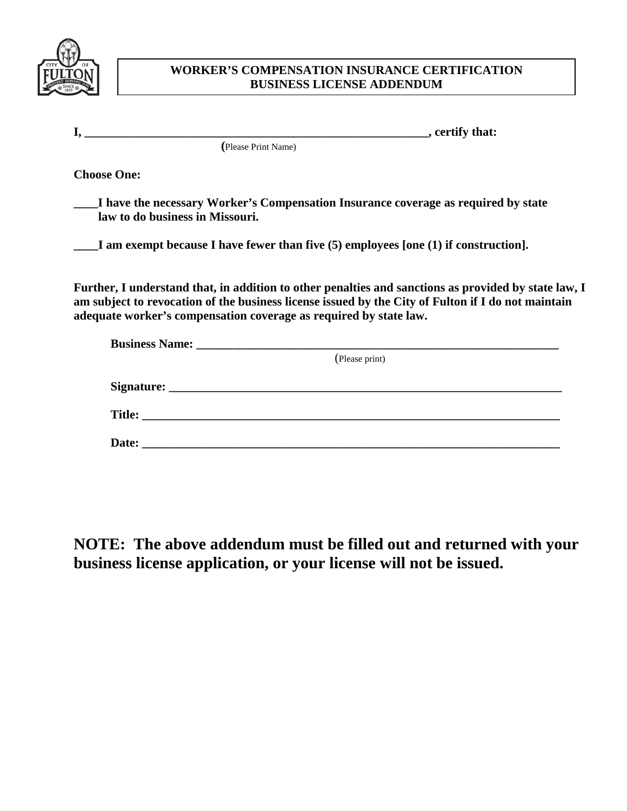

## **WORKER'S COMPENSATION INSURANCE CERTIFICATION BUSINESS LICENSE ADDENDUM**

|                    | , certify that:                                                                                                                                                                                                                                                                 |
|--------------------|---------------------------------------------------------------------------------------------------------------------------------------------------------------------------------------------------------------------------------------------------------------------------------|
|                    | (Please Print Name)                                                                                                                                                                                                                                                             |
| <b>Choose One:</b> |                                                                                                                                                                                                                                                                                 |
|                    | I have the necessary Worker's Compensation Insurance coverage as required by state<br>law to do business in Missouri.                                                                                                                                                           |
|                    | I am exempt because I have fewer than five $(5)$ employees [one $(1)$ if construction].                                                                                                                                                                                         |
|                    | Further, I understand that, in addition to other penalties and sanctions as provided by state law, I<br>am subject to revocation of the business license issued by the City of Fulton if I do not maintain<br>adequate worker's compensation coverage as required by state law. |
|                    | <b>Business Name:</b> <u>Department</u> of the state of the state of the state of the state of the state of the state of the state of the state of the state of the state of the state of the state of the state of the state of the sta                                        |
|                    | (Please print)                                                                                                                                                                                                                                                                  |
|                    |                                                                                                                                                                                                                                                                                 |

**NOTE: The above addendum must be filled out and returned with your business license application, or your license will not be issued.**

**Signature: \_\_\_\_\_\_\_\_\_\_\_\_\_\_\_\_\_\_\_\_\_\_\_\_\_\_\_\_\_\_\_\_\_\_\_\_\_\_\_\_\_\_\_\_\_\_\_\_\_\_\_\_\_\_\_\_\_\_\_\_\_\_\_\_**

 **Date: \_\_\_\_\_\_\_\_\_\_\_\_\_\_\_\_\_\_\_\_\_\_\_\_\_\_\_\_\_\_\_\_\_\_\_\_\_\_\_\_\_\_\_\_\_\_\_\_\_\_\_\_\_\_\_\_\_\_\_\_\_\_\_\_\_\_\_\_**

**Title: \_\_\_\_\_\_\_\_\_\_\_\_\_\_\_\_\_\_\_\_\_\_\_\_\_\_\_\_\_\_\_\_\_\_\_\_\_\_\_\_\_\_\_\_\_\_\_\_\_\_\_\_\_\_\_\_\_\_\_\_\_\_\_\_\_\_\_\_**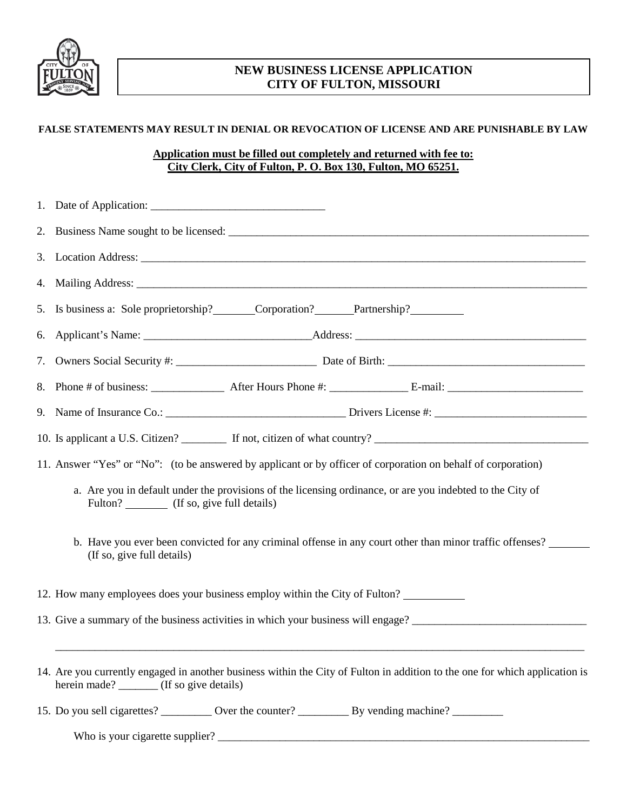

## **NEW BUSINESS LICENSE APPLICATION CITY OF FULTON, MISSOURI**

## **FALSE STATEMENTS MAY RESULT IN DENIAL OR REVOCATION OF LICENSE AND ARE PUNISHABLE BY LAW**

## **Application must be filled out completely and returned with fee to: City Clerk, City of Fulton, P. O. Box 130, Fulton, MO 65251.**

| 2. |                                                                                                                                                                          |  |  |
|----|--------------------------------------------------------------------------------------------------------------------------------------------------------------------------|--|--|
|    |                                                                                                                                                                          |  |  |
|    |                                                                                                                                                                          |  |  |
| 5. | Is business a: Sole proprietorship? Corporation? Partnership?                                                                                                            |  |  |
| 6. |                                                                                                                                                                          |  |  |
| 7. |                                                                                                                                                                          |  |  |
|    |                                                                                                                                                                          |  |  |
|    |                                                                                                                                                                          |  |  |
|    |                                                                                                                                                                          |  |  |
|    | 11. Answer "Yes" or "No": (to be answered by applicant or by officer of corporation on behalf of corporation)                                                            |  |  |
|    | a. Are you in default under the provisions of the licensing ordinance, or are you indebted to the City of<br>Fulton? (If so, give full details)                          |  |  |
|    | b. Have you ever been convicted for any criminal offense in any court other than minor traffic offenses?<br>(If so, give full details)                                   |  |  |
|    | 12. How many employees does your business employ within the City of Fulton?                                                                                              |  |  |
|    |                                                                                                                                                                          |  |  |
|    | 14. Are you currently engaged in another business within the City of Fulton in addition to the one for which application is<br>herein made? _______ (If so give details) |  |  |
|    | 15. Do you sell cigarettes? ___________ Over the counter? _______________________ By vending machine? _______________                                                    |  |  |

Who is your cigarette supplier? \_\_\_\_\_\_\_\_\_\_\_\_\_\_\_\_\_\_\_\_\_\_\_\_\_\_\_\_\_\_\_\_\_\_\_\_\_\_\_\_\_\_\_\_\_\_\_\_\_\_\_\_\_\_\_\_\_\_\_\_\_\_\_\_\_\_